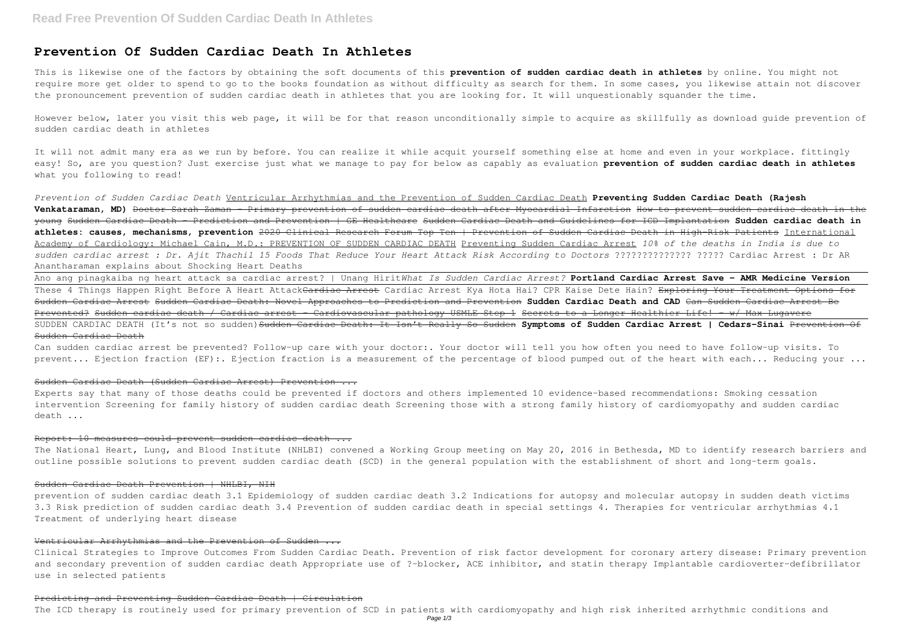# **Prevention Of Sudden Cardiac Death In Athletes**

This is likewise one of the factors by obtaining the soft documents of this **prevention of sudden cardiac death in athletes** by online. You might not require more get older to spend to go to the books foundation as without difficulty as search for them. In some cases, you likewise attain not discover the pronouncement prevention of sudden cardiac death in athletes that you are looking for. It will unquestionably squander the time.

However below, later you visit this web page, it will be for that reason unconditionally simple to acquire as skillfully as download guide prevention of sudden cardiac death in athletes

It will not admit many era as we run by before. You can realize it while acquit yourself something else at home and even in your workplace. fittingly easy! So, are you question? Just exercise just what we manage to pay for below as capably as evaluation **prevention of sudden cardiac death in athletes** what you following to read!

Can sudden cardiac arrest be prevented? Follow-up care with your doctor:. Your doctor will tell you how often you need to have follow-up visits. To prevent... Ejection fraction (EF):. Ejection fraction is a measurement of the percentage of blood pumped out of the heart with each... Reducing your ...

*Prevention of Sudden Cardiac Death* Ventricular Arrhythmias and the Prevention of Sudden Cardiac Death **Preventing Sudden Cardiac Death (Rajesh Venkataraman, MD)** Doctor Sarah Zaman - Primary prevention of sudden cardiac death after Myocardial Infarction How to prevent sudden cardiac death in the young Sudden Cardiac Death - Prediction and Prevention | GE Healthcare Sudden Cardiac Death and Guidelines for ICD Implantation **Sudden cardiac death in athletes: causes, mechanisms, prevention** 2020 Clinical Research Forum Top Ten | Prevention of Sudden Cardiac Death in High-Risk Patients International Academy of Cardiology: Michael Cain, M.D.: PREVENTION OF SUDDEN CARDIAC DEATH Preventing Sudden Cardiac Arrest *10% of the deaths in India is due to sudden cardiac arrest : Dr. Ajit Thachil 15 Foods That Reduce Your Heart Attack Risk According to Doctors* ?????????????? ????? Cardiac Arrest : Dr AR Anantharaman explains about Shocking Heart Deaths

The National Heart, Lung, and Blood Institute (NHLBI) convened a Working Group meeting on May 20, 2016 in Bethesda, MD to identify research barriers and outline possible solutions to prevent sudden cardiac death (SCD) in the general population with the establishment of short and long-term goals.

#### Sudden Cardiac Death Prevention | NHLBI, NIH

Ano ang pinagkaiba ng heart attack sa cardiac arrest? | Unang Hirit*What Is Sudden Cardiac Arrest?* **Portland Cardiac Arrest Save - AMR Medicine Version** These 4 Things Happen Right Before A Heart Attack<del>Cardiac Arrest</del> Cardiac Arrest Kya Hota Hai? CPR Kaise Dete Hain? <del>Exploring Your Treatment Options for</del> Sudden Cardiac Arrest Sudden Cardiac Death: Novel Approaches to Prediction and Prevention **Sudden Cardiac Death and CAD** Can Sudden Cardiac Arrest Be Prevented? Sudden cardiac death / Cardiac arrest - Cardiovascular pathology USMLE Step 1 Secrets to a Longer Healthier Life! - w/ Max Lugavere SUDDEN CARDIAC DEATH (It's not so sudden) Sudden Cardiac Death: It Isn't Really So Sudden Symptoms of Sudden Cardiac Arrest | Cedars-Sinai Prevention Of Sudden Cardiac Death

# Sudden Cardiac Death (Sudden Cardiac Arrest) Prevention ...

Experts say that many of those deaths could be prevented if doctors and others implemented 10 evidence-based recommendations: Smoking cessation intervention Screening for family history of sudden cardiac death Screening those with a strong family history of cardiomyopathy and sudden cardiac death ...

#### Report: 10 measures could prevent sudden cardiac death ...

prevention of sudden cardiac death 3.1 Epidemiology of sudden cardiac death 3.2 Indications for autopsy and molecular autopsy in sudden death victims 3.3 Risk prediction of sudden cardiac death 3.4 Prevention of sudden cardiac death in special settings 4. Therapies for ventricular arrhythmias 4.1 Treatment of underlying heart disease

# Ventricular Arrhythmias and the Prevention of Sudden ...

Clinical Strategies to Improve Outcomes From Sudden Cardiac Death. Prevention of risk factor development for coronary artery disease: Primary prevention and secondary prevention of sudden cardiac death Appropriate use of ?-blocker, ACE inhibitor, and statin therapy Implantable cardioverter-defibrillator use in selected patients

#### Predicting and Preventing Sudden Cardiac Death | Circulation

The ICD therapy is routinely used for primary prevention of SCD in patients with cardiomyopathy and high risk inherited arrhythmic conditions and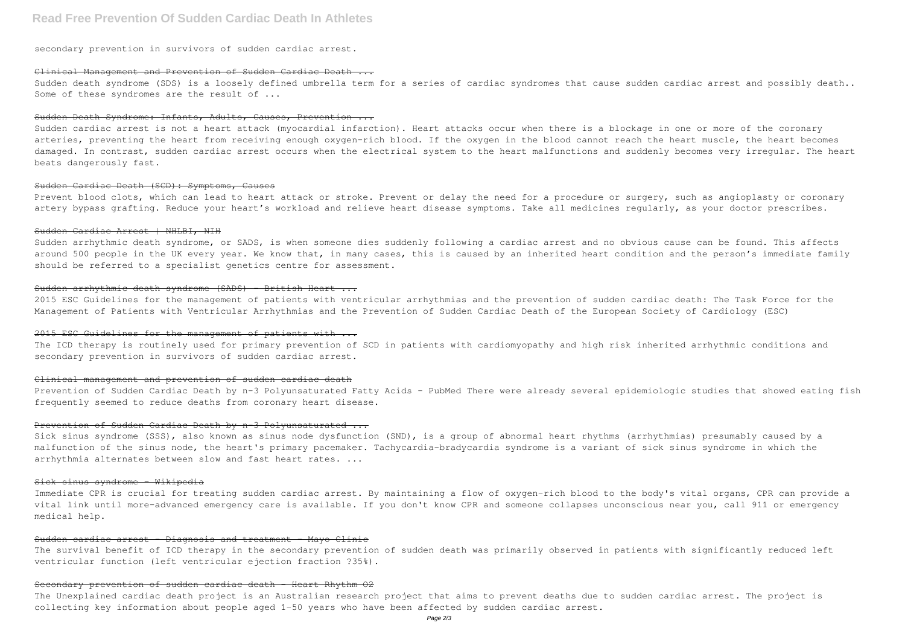# **Read Free Prevention Of Sudden Cardiac Death In Athletes**

secondary prevention in survivors of sudden cardiac arrest.

### Clinical Management and Prevention of Sudden Cardiac Death ...

Sudden death syndrome (SDS) is a loosely defined umbrella term for a series of cardiac syndromes that cause sudden cardiac arrest and possibly death.. Some of these syndromes are the result of ...

### Sudden Death Syndrome: Infants, Adults, Causes, Prevention ...

Prevent blood clots, which can lead to heart attack or stroke. Prevent or delay the need for a procedure or surgery, such as angioplasty or coronary artery bypass grafting. Reduce your heart's workload and relieve heart disease symptoms. Take all medicines regularly, as your doctor prescribes.

Sudden cardiac arrest is not a heart attack (myocardial infarction). Heart attacks occur when there is a blockage in one or more of the coronary arteries, preventing the heart from receiving enough oxygen-rich blood. If the oxygen in the blood cannot reach the heart muscle, the heart becomes damaged. In contrast, sudden cardiac arrest occurs when the electrical system to the heart malfunctions and suddenly becomes very irregular. The heart beats dangerously fast.

Sudden arrhythmic death syndrome, or SADS, is when someone dies suddenly following a cardiac arrest and no obvious cause can be found. This affects around 500 people in the UK every year. We know that, in many cases, this is caused by an inherited heart condition and the person's immediate family should be referred to a specialist genetics centre for assessment.

#### Sudden Cardiac Death (SCD): Symptoms, Causes

#### Sudden Cardiac Arrest | NHLBI, NIH

Sick sinus syndrome (SSS), also known as sinus node dysfunction (SND), is a group of abnormal heart rhythms (arrhythmias) presumably caused by a malfunction of the sinus node, the heart's primary pacemaker. Tachycardia-bradycardia syndrome is a variant of sick sinus syndrome in which the arrhythmia alternates between slow and fast heart rates. ...

# Sick sinus syndrome - Wikipedia

## Sudden arrhythmic death syndrome (SADS) – British Heart ...

2015 ESC Guidelines for the management of patients with ventricular arrhythmias and the prevention of sudden cardiac death: The Task Force for the Management of Patients with Ventricular Arrhythmias and the Prevention of Sudden Cardiac Death of the European Society of Cardiology (ESC)

#### 2015 ESC Guidelines for the management of patients with ...

The ICD therapy is routinely used for primary prevention of SCD in patients with cardiomyopathy and high risk inherited arrhythmic conditions and secondary prevention in survivors of sudden cardiac arrest.

### Clinical management and prevention of sudden cardiac death

Prevention of Sudden Cardiac Death by n-3 Polyunsaturated Fatty Acids - PubMed There were already several epidemiologic studies that showed eating fish frequently seemed to reduce deaths from coronary heart disease.

#### Prevention of Sudden Cardiac Death by n-3 Polyunsaturated ...

Immediate CPR is crucial for treating sudden cardiac arrest. By maintaining a flow of oxygen-rich blood to the body's vital organs, CPR can provide a vital link until more-advanced emergency care is available. If you don't know CPR and someone collapses unconscious near you, call 911 or emergency medical help.

# Sudden cardiac arrest - Diagnosis and treatment - Mayo Clinic

The survival benefit of ICD therapy in the secondary prevention of sudden death was primarily observed in patients with significantly reduced left ventricular function (left ventricular ejection fraction ?35%).

# Secondary prevention of sudden cardiac death - Heart Rhythm O2

The Unexplained cardiac death project is an Australian research project that aims to prevent deaths due to sudden cardiac arrest. The project is collecting key information about people aged 1–50 years who have been affected by sudden cardiac arrest.